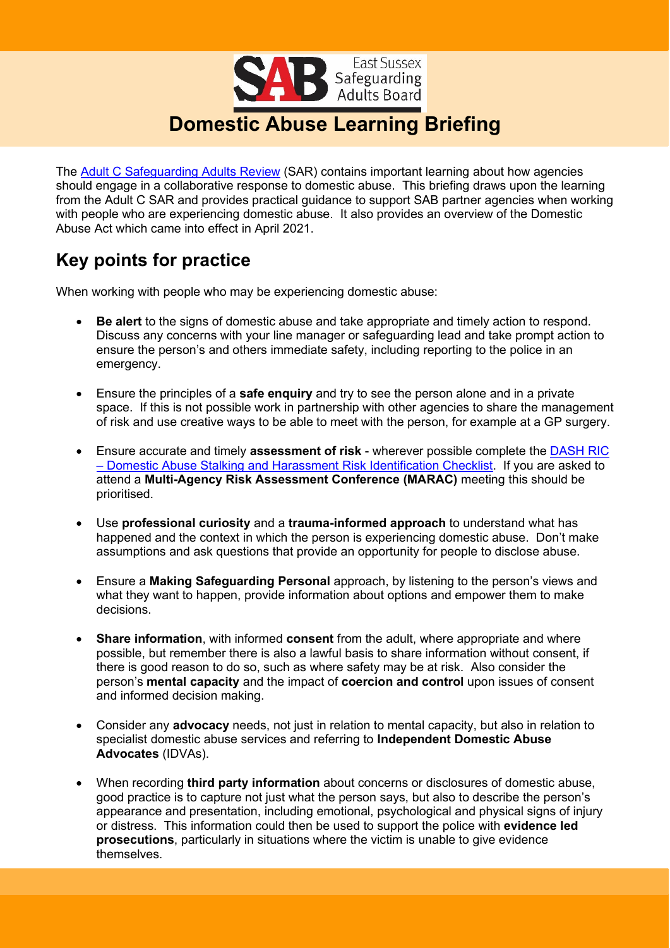

The [Adult C Safeguarding Adults Review](https://www.eastsussexsab.org.uk/documents/adult-c-sar-published-december-2020-2/) (SAR) contains important learning about how agencies should engage in a collaborative response to domestic abuse. This briefing draws upon the learning from the Adult C SAR and provides practical guidance to support SAB partner agencies when working with people who are experiencing domestic abuse. It also provides an overview of the Domestic Abuse Act which came into effect in April 2021.

# **Key points for practice**

When working with people who may be experiencing domestic abuse:

- **Be alert** to the signs of domestic abuse and take appropriate and timely action to respond. Discuss any concerns with your line manager or safeguarding lead and take prompt action to ensure the person's and others immediate safety, including reporting to the police in an emergency.
- Ensure the principles of a **safe enquiry** and try to see the person alone and in a private space. If this is not possible work in partnership with other agencies to share the management of risk and use creative ways to be able to meet with the person, for example at a GP surgery.
- Ensure accurate and timely **assessment of risk** wherever possible complete th[e DASH RIC](https://www.safeineastsussex.org.uk/content/files/file/BH%20ES%20DASH%20RIC%20Form%20East%20Sussex%20Brighton%20Hove%20July%20(revised%202016).doc)  – [Domestic Abuse Stalking and Harassment Risk Identification Checklist.](https://www.safeineastsussex.org.uk/content/files/file/BH%20ES%20DASH%20RIC%20Form%20East%20Sussex%20Brighton%20Hove%20July%20(revised%202016).doc) If you are asked to attend a **Multi-Agency Risk Assessment Conference (MARAC)** meeting this should be prioritised.
- Use **professional curiosity** and a **trauma-informed approach** to understand what has happened and the context in which the person is experiencing domestic abuse. Don't make assumptions and ask questions that provide an opportunity for people to disclose abuse.
- Ensure a **Making Safeguarding Personal** approach, by listening to the person's views and what they want to happen, provide information about options and empower them to make decisions.
- **Share information**, with informed **consent** from the adult, where appropriate and where possible, but remember there is also a lawful basis to share information without consent, if there is good reason to do so, such as where safety may be at risk. Also consider the person's **mental capacity** and the impact of **coercion and control** upon issues of consent and informed decision making.
- Consider any **advocacy** needs, not just in relation to mental capacity, but also in relation to specialist domestic abuse services and referring to **Independent Domestic Abuse Advocates** (IDVAs).
- When recording **third party information** about concerns or disclosures of domestic abuse, good practice is to capture not just what the person says, but also to describe the person's appearance and presentation, including emotional, psychological and physical signs of injury or distress. This information could then be used to support the police with **evidence led prosecutions**, particularly in situations where the victim is unable to give evidence themselves.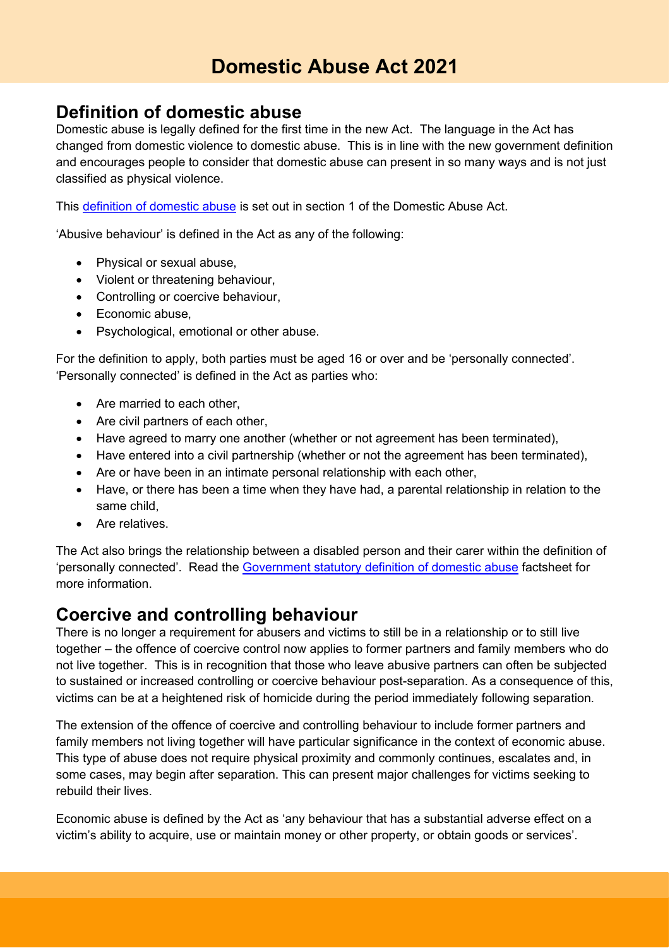#### **Definition of domestic abuse**

Domestic abuse is legally defined for the first time in the new Act. The language in the Act has changed from domestic violence to domestic abuse. This is in line with the new government definition and encourages people to consider that domestic abuse can present in so many ways and is not just classified as physical violence.

This [definition of domestic abuse](https://www.legislation.gov.uk/ukpga/2021/17/section/1) is set out in section 1 of the Domestic Abuse Act.

'Abusive behaviour' is defined in the Act as any of the following:

- Physical or sexual abuse,
- Violent or threatening behaviour,
- Controlling or coercive behaviour,
- Economic abuse,
- Psychological, emotional or other abuse.

For the definition to apply, both parties must be aged 16 or over and be 'personally connected'. 'Personally connected' is defined in the Act as parties who:

- Are married to each other,
- Are civil partners of each other,
- Have agreed to marry one another (whether or not agreement has been terminated),
- Have entered into a civil partnership (whether or not the agreement has been terminated),
- Are or have been in an intimate personal relationship with each other,
- Have, or there has been a time when they have had, a parental relationship in relation to the same child,
- Are relatives.

The Act also brings the relationship between a disabled person and their carer within the definition of 'personally connected'. Read the [Government statutory definition of domestic abuse](https://www.gov.uk/government/publications/domestic-abuse-bill-2020-factsheets/statutory-definition-of-domestic-abuse-factsheet) factsheet for more information.

#### **Coercive and controlling behaviour**

There is no longer a requirement for abusers and victims to still be in a relationship or to still live together – the offence of coercive control now applies to former partners and family members who do not live together. This is in recognition that those who leave abusive partners can often be subjected to sustained or increased controlling or coercive behaviour post-separation. As a consequence of this, victims can be at a heightened risk of homicide during the period immediately following separation.

The extension of the offence of coercive and controlling behaviour to include former partners and family members not living together will have particular significance in the context of economic abuse. This type of abuse does not require physical proximity and commonly continues, escalates and, in some cases, may begin after separation. This can present major challenges for victims seeking to rebuild their lives.

Economic abuse is defined by the Act as 'any behaviour that has a substantial adverse effect on a victim's ability to acquire, use or maintain money or other property, or obtain goods or services'.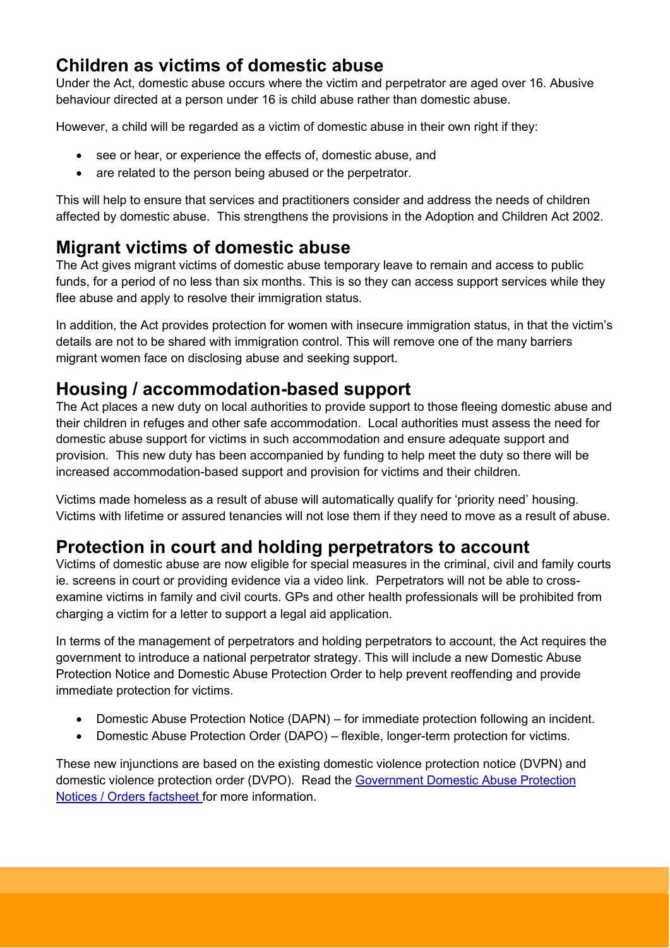### **Children as victims of domestic abuse**

Under the Act, domestic abuse occurs where the victim and perpetrator are aged over 16. Abusive behaviour directed at a person under 16 is child abuse rather than domestic abuse.

However, a child will be regarded as a victim of domestic abuse in their own right if they:

- see or hear, or experience the effects of, domestic abuse, and
- are related to the person being abused or the perpetrator.

This will help to ensure that services and practitioners consider and address the needs of children affected by domestic abuse. This strengthens the provisions in the Adoption and Children Act 2002.

# **Migrant victims of domestic abuse**

The Act gives migrant victims of domestic abuse temporary leave to remain and access to public funds, for a period of no less than six months. This is so they can access support services while they flee abuse and apply to resolve their immigration status.

In addition, the Act provides protection for women with insecure immigration status, in that the victim's details are not to be shared with immigration control. This will remove one of the many barriers migrant women face on disclosing abuse and seeking support.

# **Housing / accommodation-based support**

The Act places a new duty on local authorities to provide support to those fleeing domestic abuse and their children in refuges and other safe accommodation. Local authorities must assess the need for domestic abuse support for victims in such accommodation and ensure adequate support and provision. This new duty has been accompanied by funding to help meet the duty so there will be increased accommodation-based support and provision for victims and their children.

Victims made homeless as a result of abuse will automatically qualify for 'priority need' housing. Victims with lifetime or assured tenancies will not lose them if they need to move as a result of abuse.

### **Protection in court and holding perpetrators to account**

Victims of domestic abuse are now eligible for special measures in the criminal, civil and family courts ie. screens in court or providing evidence via a video link. Perpetrators will not be able to crossexamine victims in family and civil courts. GPs and other health professionals will be prohibited from charging a victim for a letter to support a legal aid application.

In terms of the management of perpetrators and holding perpetrators to account, the Act requires the government to introduce a national perpetrator strategy. This will include a new Domestic Abuse Protection Notice and Domestic Abuse Protection Order to help prevent reoffending and provide immediate protection for victims.

- Domestic Abuse Protection Notice (DAPN) for immediate protection following an incident.
- Domestic Abuse Protection Order (DAPO) flexible, longer-term protection for victims.

These new injunctions are based on the existing domestic violence protection notice (DVPN) and domestic violence protection order (DVPO). Read the [Government Domestic Abuse Protection](https://www.gov.uk/government/publications/domestic-abuse-bill-2020-factsheets/domestic-abuse-protection-notices-orders-factsheet)  [Notices / Orders factsheet](https://www.gov.uk/government/publications/domestic-abuse-bill-2020-factsheets/domestic-abuse-protection-notices-orders-factsheet) for more information.